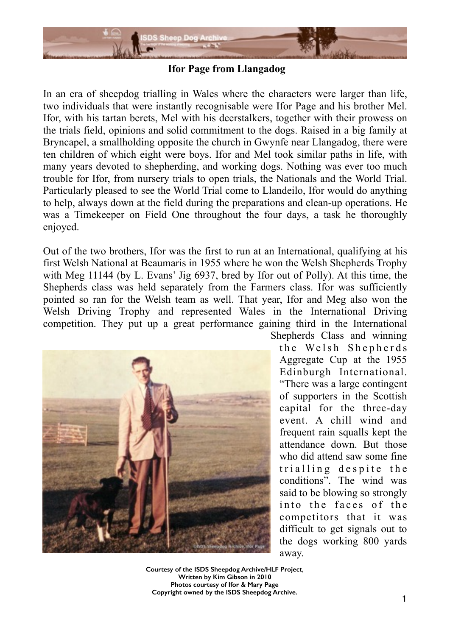

**Ifor Page from Llangadog**

In an era of sheepdog trialling in Wales where the characters were larger than life, two individuals that were instantly recognisable were Ifor Page and his brother Mel. Ifor, with his tartan berets, Mel with his deerstalkers, together with their prowess on the trials field, opinions and solid commitment to the dogs. Raised in a big family at Bryncapel, a smallholding opposite the church in Gwynfe near Llangadog, there were ten children of which eight were boys. Ifor and Mel took similar paths in life, with many years devoted to shepherding, and working dogs. Nothing was ever too much trouble for Ifor, from nursery trials to open trials, the Nationals and the World Trial. Particularly pleased to see the World Trial come to Llandeilo, Ifor would do anything to help, always down at the field during the preparations and clean-up operations. He was a Timekeeper on Field One throughout the four days, a task he thoroughly enjoyed.

Out of the two brothers, Ifor was the first to run at an International, qualifying at his first Welsh National at Beaumaris in 1955 where he won the Welsh Shepherds Trophy with Meg 11144 (by L. Evans' Jig 6937, bred by Ifor out of Polly). At this time, the Shepherds class was held separately from the Farmers class. Ifor was sufficiently pointed so ran for the Welsh team as well. That year, Ifor and Meg also won the Welsh Driving Trophy and represented Wales in the International Driving competition. They put up a great performance gaining third in the International



Shepherds Class and winning the Welsh Shepherds Aggregate Cup at the 1955 Edinburgh International. "There was a large contingent of supporters in the Scottish capital for the three-day event. A chill wind and frequent rain squalls kept the attendance down. But those who did attend saw some fine trialling despite the conditions". The wind was said to be blowing so strongly into the faces of the competitors that it was difficult to get signals out to the dogs working 800 yards away.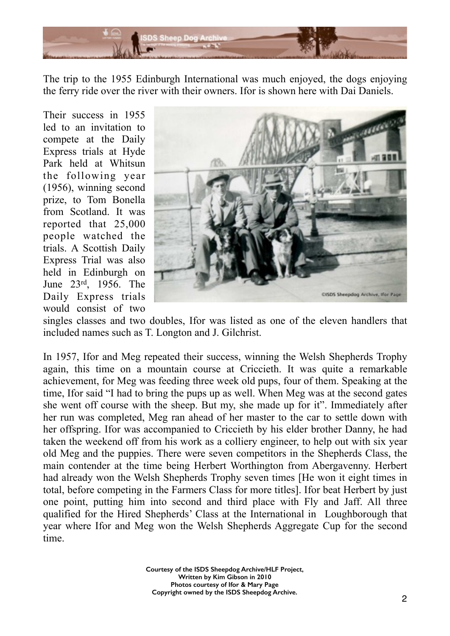

The trip to the 1955 Edinburgh International was much enjoyed, the dogs enjoying the ferry ride over the river with their owners. Ifor is shown here with Dai Daniels.

Their success in 1955 led to an invitation to compete at the Daily Express trials at Hyde Park held at Whitsun the following year (1956), winning second prize, to Tom Bonella from Scotland. It was reported that 25,000 people watched the trials. A Scottish Daily Express Trial was also held in Edinburgh on June 23rd, 1956. The Daily Express trials would consist of two



singles classes and two doubles, Ifor was listed as one of the eleven handlers that included names such as T. Longton and J. Gilchrist.

In 1957, Ifor and Meg repeated their success, winning the Welsh Shepherds Trophy again, this time on a mountain course at Criccieth. It was quite a remarkable achievement, for Meg was feeding three week old pups, four of them. Speaking at the time, Ifor said "I had to bring the pups up as well. When Meg was at the second gates she went off course with the sheep. But my, she made up for it". Immediately after her run was completed, Meg ran ahead of her master to the car to settle down with her offspring. Ifor was accompanied to Criccieth by his elder brother Danny, he had taken the weekend off from his work as a colliery engineer, to help out with six year old Meg and the puppies. There were seven competitors in the Shepherds Class, the main contender at the time being Herbert Worthington from Abergavenny. Herbert had already won the Welsh Shepherds Trophy seven times [He won it eight times in total, before competing in the Farmers Class for more titles]. Ifor beat Herbert by just one point, putting him into second and third place with Fly and Jaff. All three qualified for the Hired Shepherds' Class at the International in Loughborough that year where Ifor and Meg won the Welsh Shepherds Aggregate Cup for the second time.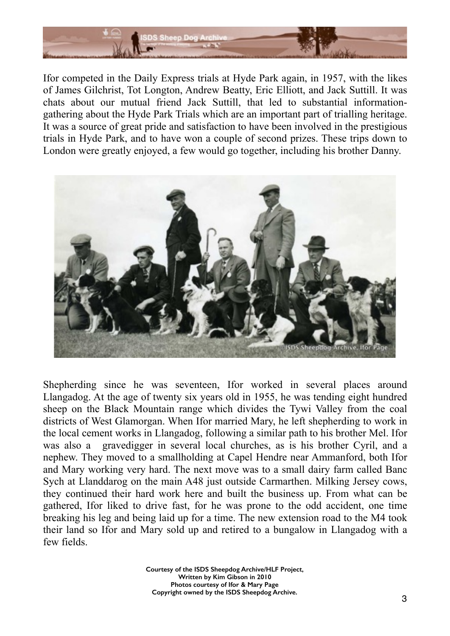

Ifor competed in the Daily Express trials at Hyde Park again, in 1957, with the likes of James Gilchrist, Tot Longton, Andrew Beatty, Eric Elliott, and Jack Suttill. It was chats about our mutual friend Jack Suttill, that led to substantial informationgathering about the Hyde Park Trials which are an important part of trialling heritage. It was a source of great pride and satisfaction to have been involved in the prestigious trials in Hyde Park, and to have won a couple of second prizes. These trips down to London were greatly enjoyed, a few would go together, including his brother Danny.



Shepherding since he was seventeen, Ifor worked in several places around Llangadog. At the age of twenty six years old in 1955, he was tending eight hundred sheep on the Black Mountain range which divides the Tywi Valley from the coal districts of West Glamorgan. When Ifor married Mary, he left shepherding to work in the local cement works in Llangadog, following a similar path to his brother Mel. Ifor was also a gravedigger in several local churches, as is his brother Cyril, and a nephew. They moved to a smallholding at Capel Hendre near Ammanford, both Ifor and Mary working very hard. The next move was to a small dairy farm called Banc Sych at Llanddarog on the main A48 just outside Carmarthen. Milking Jersey cows, they continued their hard work here and built the business up. From what can be gathered, Ifor liked to drive fast, for he was prone to the odd accident, one time breaking his leg and being laid up for a time. The new extension road to the M4 took their land so Ifor and Mary sold up and retired to a bungalow in Llangadog with a few fields.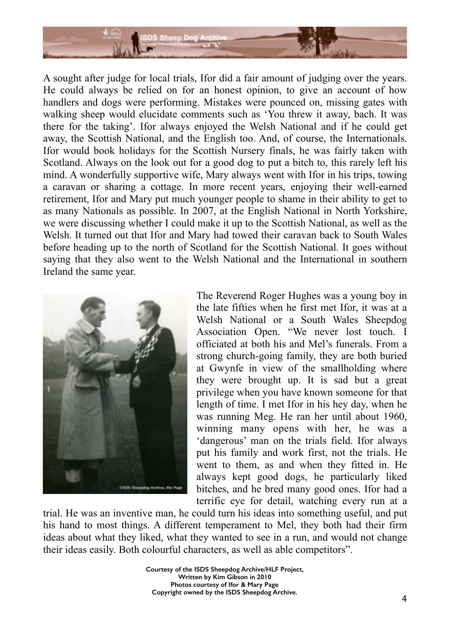

A sought after judge for local trials, Ifor did a fair amount of judging over the years. He could always be relied on for an honest opinion, to give an account of how handlers and dogs were performing. Mistakes were pounced on, missing gates with walking sheep would elucidate comments such as 'You threw it away, bach. It was there for the taking'. Ifor always enjoyed the Welsh National and if he could get away, the Scottish National, and the English too. And, of course, the Internationals. Ifor would book holidays for the Scottish Nursery finals, he was fairly taken with Scotland. Always on the look out for a good dog to put a bitch to, this rarely left his mind. A wonderfully supportive wife, Mary always went with Ifor in his trips, towing a caravan or sharing a cottage. In more recent years, enjoying their well-earned retirement, Ifor and Mary put much younger people to shame in their ability to get to as many Nationals as possible. In 2007, at the English National in North Yorkshire, we were discussing whether I could make it up to the Scottish National, as well as the Welsh. It turned out that Ifor and Mary had towed their caravan back to South Wales before heading up to the north of Scotland for the Scottish National. It goes without saying that they also went to the Welsh National and the International in southern Ireland the same year.



The Reverend Roger Hughes was a young boy in the late fifties when he first met Ifor, it was at a Welsh National or a South Wales Sheepdog Association Open. "We never lost touch. I officiated at both his and Mel's funerals. From a strong church-going family, they are both buried at Gwynfe in view of the smallholding where they were brought up. It is sad but a great privilege when you have known someone for that length of time. I met Ifor in his hey day, when he was running Meg. He ran her until about 1960, winning many opens with her, he was a 'dangerous' man on the trials field. Ifor always put his family and work first, not the trials. He went to them, as and when they fitted in. He always kept good dogs, he particularly liked bitches, and he bred many good ones. Ifor had a terrific eye for detail, watching every run at a

trial. He was an inventive man, he could turn his ideas into something useful, and put his hand to most things. A different temperament to Mel, they both had their firm ideas about what they liked, what they wanted to see in a run, and would not change their ideas easily. Both colourful characters, as well as able competitors".